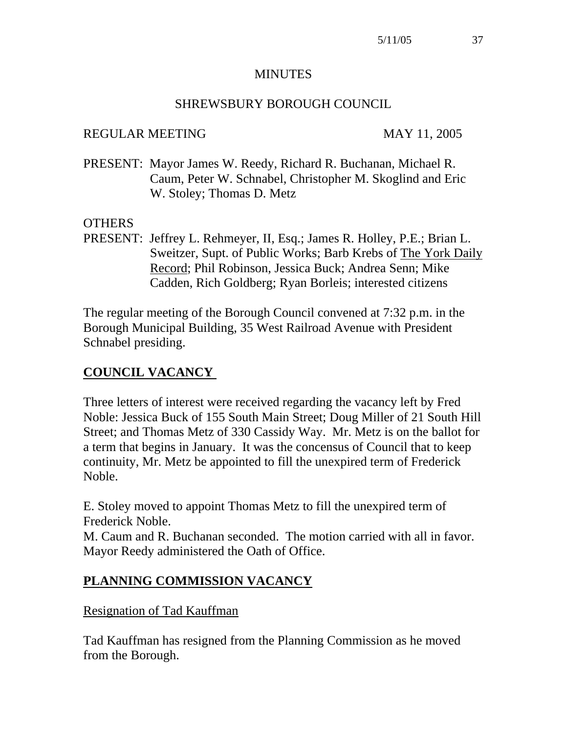#### **MINUTES**

### SHREWSBURY BOROUGH COUNCIL

### REGULAR MEETING MAY 11, 2005

PRESENT: Mayor James W. Reedy, Richard R. Buchanan, Michael R. Caum, Peter W. Schnabel, Christopher M. Skoglind and Eric W. Stoley; Thomas D. Metz

### **OTHERS**

PRESENT: Jeffrey L. Rehmeyer, II, Esq.; James R. Holley, P.E.; Brian L. Sweitzer, Supt. of Public Works; Barb Krebs of The York Daily Record; Phil Robinson, Jessica Buck; Andrea Senn; Mike Cadden, Rich Goldberg; Ryan Borleis; interested citizens

The regular meeting of the Borough Council convened at 7:32 p.m. in the Borough Municipal Building, 35 West Railroad Avenue with President Schnabel presiding.

# **COUNCIL VACANCY**

Three letters of interest were received regarding the vacancy left by Fred Noble: Jessica Buck of 155 South Main Street; Doug Miller of 21 South Hill Street; and Thomas Metz of 330 Cassidy Way. Mr. Metz is on the ballot for a term that begins in January. It was the concensus of Council that to keep continuity, Mr. Metz be appointed to fill the unexpired term of Frederick Noble.

E. Stoley moved to appoint Thomas Metz to fill the unexpired term of Frederick Noble.

M. Caum and R. Buchanan seconded. The motion carried with all in favor. Mayor Reedy administered the Oath of Office.

## **PLANNING COMMISSION VACANCY**

### Resignation of Tad Kauffman

Tad Kauffman has resigned from the Planning Commission as he moved from the Borough.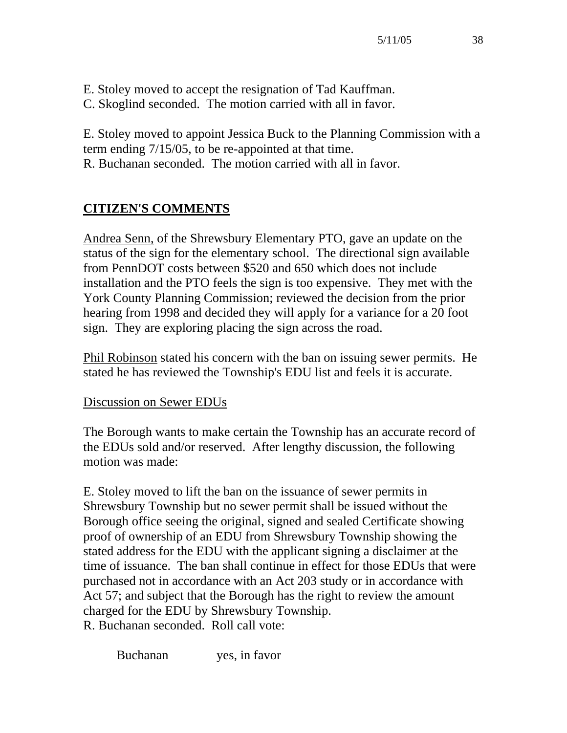- E. Stoley moved to accept the resignation of Tad Kauffman.
- C. Skoglind seconded. The motion carried with all in favor.

E. Stoley moved to appoint Jessica Buck to the Planning Commission with a term ending 7/15/05, to be re-appointed at that time. R. Buchanan seconded. The motion carried with all in favor.

# **CITIZEN'S COMMENTS**

Andrea Senn, of the Shrewsbury Elementary PTO, gave an update on the status of the sign for the elementary school. The directional sign available from PennDOT costs between \$520 and 650 which does not include installation and the PTO feels the sign is too expensive. They met with the York County Planning Commission; reviewed the decision from the prior hearing from 1998 and decided they will apply for a variance for a 20 foot sign. They are exploring placing the sign across the road.

Phil Robinson stated his concern with the ban on issuing sewer permits. He stated he has reviewed the Township's EDU list and feels it is accurate.

## Discussion on Sewer EDUs

The Borough wants to make certain the Township has an accurate record of the EDUs sold and/or reserved. After lengthy discussion, the following motion was made:

E. Stoley moved to lift the ban on the issuance of sewer permits in Shrewsbury Township but no sewer permit shall be issued without the Borough office seeing the original, signed and sealed Certificate showing proof of ownership of an EDU from Shrewsbury Township showing the stated address for the EDU with the applicant signing a disclaimer at the time of issuance. The ban shall continue in effect for those EDUs that were purchased not in accordance with an Act 203 study or in accordance with Act 57; and subject that the Borough has the right to review the amount charged for the EDU by Shrewsbury Township. R. Buchanan seconded. Roll call vote:

Buchanan yes, in favor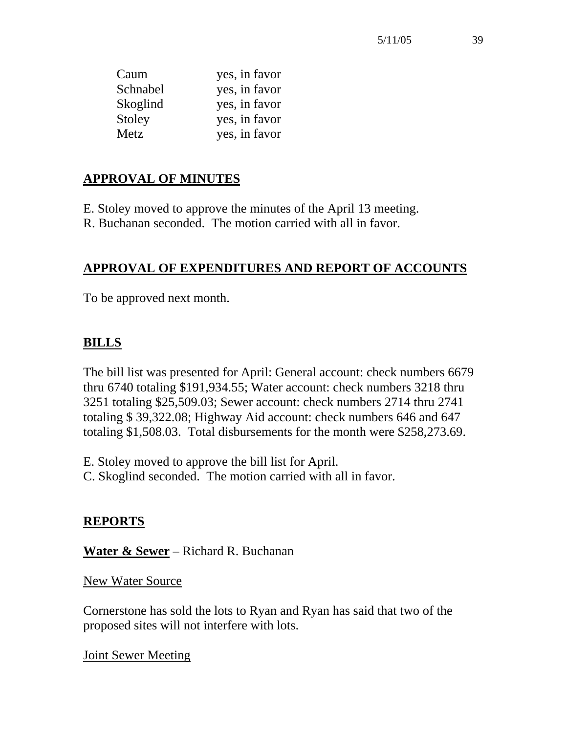| Caum     | yes, in favor |
|----------|---------------|
| Schnabel | yes, in favor |
| Skoglind | yes, in favor |
| Stoley   | yes, in favor |
| Metz     | yes, in favor |

## **APPROVAL OF MINUTES**

- E. Stoley moved to approve the minutes of the April 13 meeting.
- R. Buchanan seconded. The motion carried with all in favor.

# **APPROVAL OF EXPENDITURES AND REPORT OF ACCOUNTS**

To be approved next month.

# **BILLS**

The bill list was presented for April: General account: check numbers 6679 thru 6740 totaling \$191,934.55; Water account: check numbers 3218 thru 3251 totaling \$25,509.03; Sewer account: check numbers 2714 thru 2741 totaling \$ 39,322.08; Highway Aid account: check numbers 646 and 647 totaling \$1,508.03. Total disbursements for the month were \$258,273.69.

- E. Stoley moved to approve the bill list for April.
- C. Skoglind seconded. The motion carried with all in favor.

# **REPORTS**

**Water & Sewer** – Richard R. Buchanan

New Water Source

Cornerstone has sold the lots to Ryan and Ryan has said that two of the proposed sites will not interfere with lots.

Joint Sewer Meeting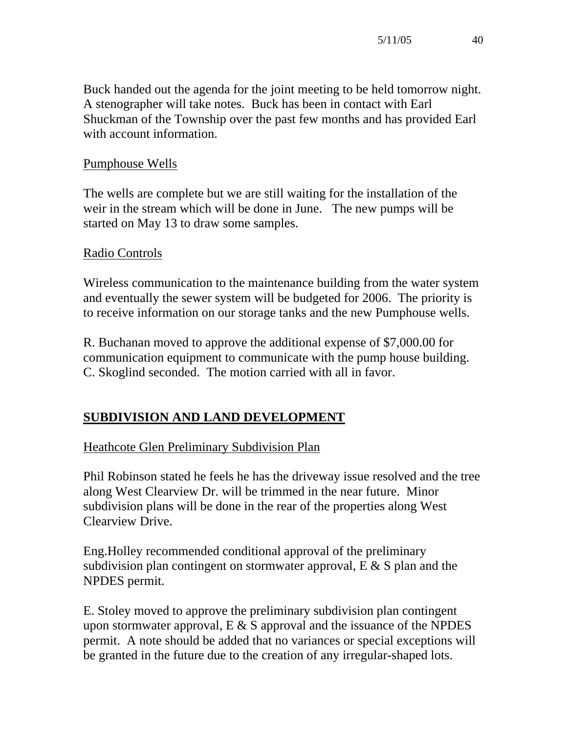Buck handed out the agenda for the joint meeting to be held tomorrow night. A stenographer will take notes. Buck has been in contact with Earl Shuckman of the Township over the past few months and has provided Earl with account information.

## Pumphouse Wells

The wells are complete but we are still waiting for the installation of the weir in the stream which will be done in June. The new pumps will be started on May 13 to draw some samples.

## Radio Controls

Wireless communication to the maintenance building from the water system and eventually the sewer system will be budgeted for 2006. The priority is to receive information on our storage tanks and the new Pumphouse wells.

R. Buchanan moved to approve the additional expense of \$7,000.00 for communication equipment to communicate with the pump house building. C. Skoglind seconded. The motion carried with all in favor.

# **SUBDIVISION AND LAND DEVELOPMENT**

### Heathcote Glen Preliminary Subdivision Plan

Phil Robinson stated he feels he has the driveway issue resolved and the tree along West Clearview Dr. will be trimmed in the near future. Minor subdivision plans will be done in the rear of the properties along West Clearview Drive.

Eng.Holley recommended conditional approval of the preliminary subdivision plan contingent on stormwater approval,  $E \& S$  plan and the NPDES permit.

E. Stoley moved to approve the preliminary subdivision plan contingent upon stormwater approval,  $E \& S$  approval and the issuance of the NPDES permit. A note should be added that no variances or special exceptions will be granted in the future due to the creation of any irregular-shaped lots.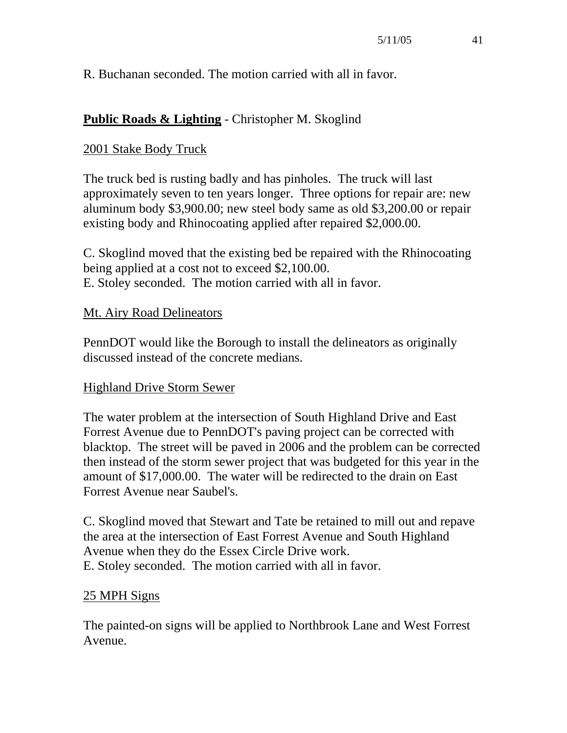### R. Buchanan seconded. The motion carried with all in favor.

## **Public Roads & Lighting** - Christopher M. Skoglind

### 2001 Stake Body Truck

The truck bed is rusting badly and has pinholes. The truck will last approximately seven to ten years longer. Three options for repair are: new aluminum body \$3,900.00; new steel body same as old \$3,200.00 or repair existing body and Rhinocoating applied after repaired \$2,000.00.

C. Skoglind moved that the existing bed be repaired with the Rhinocoating being applied at a cost not to exceed \$2,100.00. E. Stoley seconded. The motion carried with all in favor.

#### Mt. Airy Road Delineators

PennDOT would like the Borough to install the delineators as originally discussed instead of the concrete medians.

#### Highland Drive Storm Sewer

The water problem at the intersection of South Highland Drive and East Forrest Avenue due to PennDOT's paving project can be corrected with blacktop. The street will be paved in 2006 and the problem can be corrected then instead of the storm sewer project that was budgeted for this year in the amount of \$17,000.00. The water will be redirected to the drain on East Forrest Avenue near Saubel's.

C. Skoglind moved that Stewart and Tate be retained to mill out and repave the area at the intersection of East Forrest Avenue and South Highland Avenue when they do the Essex Circle Drive work. E. Stoley seconded. The motion carried with all in favor.

#### 25 MPH Signs

The painted-on signs will be applied to Northbrook Lane and West Forrest Avenue.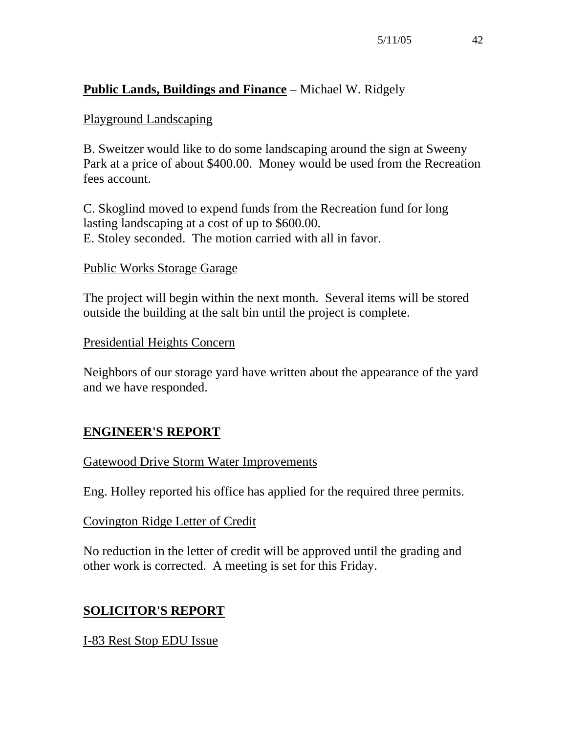## **Public Lands, Buildings and Finance** – Michael W. Ridgely

### Playground Landscaping

B. Sweitzer would like to do some landscaping around the sign at Sweeny Park at a price of about \$400.00. Money would be used from the Recreation fees account.

C. Skoglind moved to expend funds from the Recreation fund for long lasting landscaping at a cost of up to \$600.00. E. Stoley seconded. The motion carried with all in favor.

#### Public Works Storage Garage

The project will begin within the next month. Several items will be stored outside the building at the salt bin until the project is complete.

#### Presidential Heights Concern

Neighbors of our storage yard have written about the appearance of the yard and we have responded.

## **ENGINEER'S REPORT**

### Gatewood Drive Storm Water Improvements

Eng. Holley reported his office has applied for the required three permits.

### Covington Ridge Letter of Credit

No reduction in the letter of credit will be approved until the grading and other work is corrected. A meeting is set for this Friday.

## **SOLICITOR'S REPORT**

### I-83 Rest Stop EDU Issue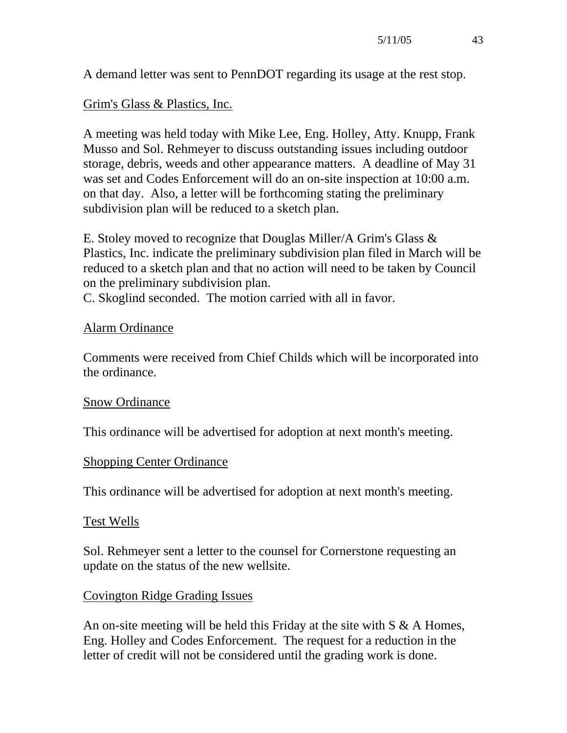A demand letter was sent to PennDOT regarding its usage at the rest stop.

### Grim's Glass & Plastics, Inc.

A meeting was held today with Mike Lee, Eng. Holley, Atty. Knupp, Frank Musso and Sol. Rehmeyer to discuss outstanding issues including outdoor storage, debris, weeds and other appearance matters. A deadline of May 31 was set and Codes Enforcement will do an on-site inspection at 10:00 a.m. on that day. Also, a letter will be forthcoming stating the preliminary subdivision plan will be reduced to a sketch plan.

E. Stoley moved to recognize that Douglas Miller/A Grim's Glass & Plastics, Inc. indicate the preliminary subdivision plan filed in March will be reduced to a sketch plan and that no action will need to be taken by Council on the preliminary subdivision plan.

C. Skoglind seconded. The motion carried with all in favor.

### Alarm Ordinance

Comments were received from Chief Childs which will be incorporated into the ordinance.

### Snow Ordinance

This ordinance will be advertised for adoption at next month's meeting.

### Shopping Center Ordinance

This ordinance will be advertised for adoption at next month's meeting.

### Test Wells

Sol. Rehmeyer sent a letter to the counsel for Cornerstone requesting an update on the status of the new wellsite.

### Covington Ridge Grading Issues

An on-site meeting will be held this Friday at the site with S & A Homes, Eng. Holley and Codes Enforcement. The request for a reduction in the letter of credit will not be considered until the grading work is done.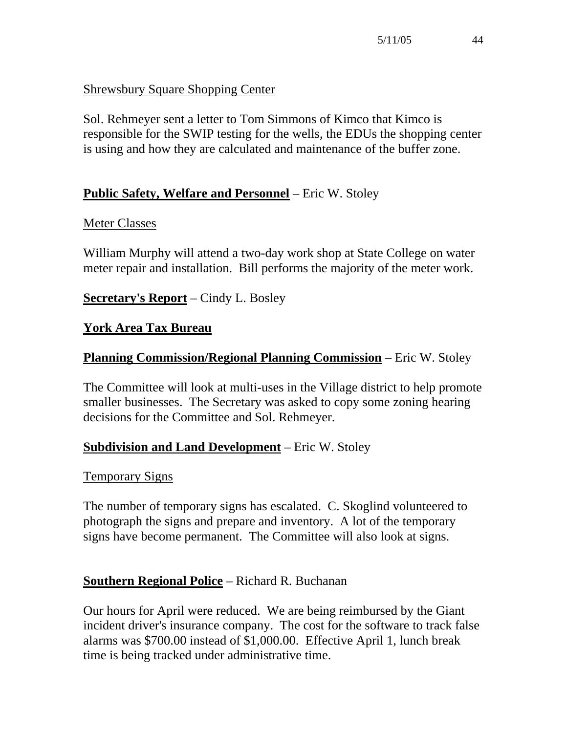## Shrewsbury Square Shopping Center

Sol. Rehmeyer sent a letter to Tom Simmons of Kimco that Kimco is responsible for the SWIP testing for the wells, the EDUs the shopping center is using and how they are calculated and maintenance of the buffer zone.

## **Public Safety, Welfare and Personnel** – Eric W. Stoley

### Meter Classes

William Murphy will attend a two-day work shop at State College on water meter repair and installation. Bill performs the majority of the meter work.

## **Secretary's Report** – Cindy L. Bosley

## **York Area Tax Bureau**

## **Planning Commission/Regional Planning Commission** – Eric W. Stoley

The Committee will look at multi-uses in the Village district to help promote smaller businesses. The Secretary was asked to copy some zoning hearing decisions for the Committee and Sol. Rehmeyer.

## **Subdivision and Land Development** – Eric W. Stoley

### **Temporary Signs**

The number of temporary signs has escalated. C. Skoglind volunteered to photograph the signs and prepare and inventory. A lot of the temporary signs have become permanent. The Committee will also look at signs.

### **Southern Regional Police** – Richard R. Buchanan

Our hours for April were reduced. We are being reimbursed by the Giant incident driver's insurance company. The cost for the software to track false alarms was \$700.00 instead of \$1,000.00. Effective April 1, lunch break time is being tracked under administrative time.